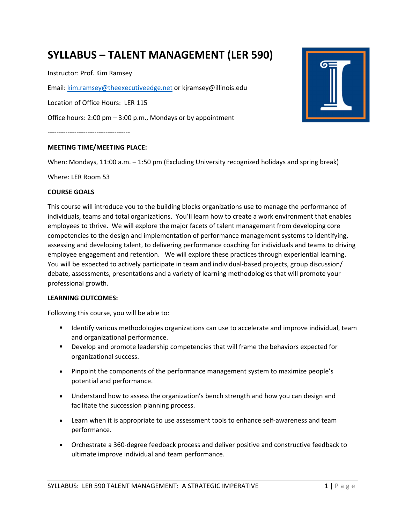# **SYLLABUS – TALENT MANAGEMENT (LER 590)**

Instructor: Prof. Kim Ramsey

Email: kim.ramsey@theexecutiveedge.net or kjramsey@illinois.edu

Location of Office Hours: LER 115

Office hours: 2:00 pm – 3:00 p.m., Mondays or by appointment

-------------------------------------

### **MEETING TIME/MEETING PLACE:**

When: Mondays, 11:00 a.m. – 1:50 pm (Excluding University recognized holidays and spring break)

Where: LER Room 53

#### **COURSE GOALS**

This course will introduce you to the building blocks organizations use to manage the performance of individuals, teams and total organizations. You'll learn how to create a work environment that enables employees to thrive. We will explore the major facets of talent management from developing core competencies to the design and implementation of performance management systems to identifying, assessing and developing talent, to delivering performance coaching for individuals and teams to driving employee engagement and retention. We will explore these practices through experiential learning. You will be expected to actively participate in team and individual-based projects, group discussion/ debate, assessments, presentations and a variety of learning methodologies that will promote your professional growth.

#### **LEARNING OUTCOMES:**

Following this course, you will be able to:

- **If all identify various methodologies organizations can use to accelerate and improve individual, team** and organizational performance.
- Develop and promote leadership competencies that will frame the behaviors expected for organizational success.
- Pinpoint the components of the performance management system to maximize people's potential and performance.
- Understand how to assess the organization's bench strength and how you can design and facilitate the succession planning process.
- Learn when it is appropriate to use assessment tools to enhance self-awareness and team performance.
- Orchestrate a 360-degree feedback process and deliver positive and constructive feedback to ultimate improve individual and team performance.

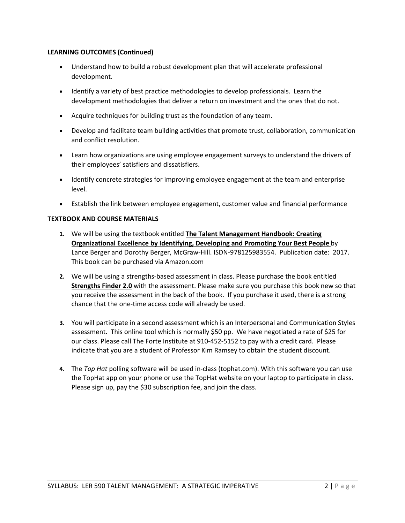## **LEARNING OUTCOMES (Continued)**

- Understand how to build a robust development plan that will accelerate professional development.
- Identify a variety of best practice methodologies to develop professionals. Learn the development methodologies that deliver a return on investment and the ones that do not.
- Acquire techniques for building trust as the foundation of any team.
- Develop and facilitate team building activities that promote trust, collaboration, communication and conflict resolution.
- Learn how organizations are using employee engagement surveys to understand the drivers of their employees' satisfiers and dissatisfiers.
- Identify concrete strategies for improving employee engagement at the team and enterprise level.
- Establish the link between employee engagement, customer value and financial performance

## **TEXTBOOK AND COURSE MATERIALS**

- **1.** We will be using the textbook entitled **The Talent Management Handbook: Creating Organizational Excellence by Identifying, Developing and Promoting Your Best People** by Lance Berger and Dorothy Berger, McGraw-Hill. ISDN-978125983554. Publication date: 2017. This book can be purchased via Amazon.com
- **2.** We will be using a strengths-based assessment in class. Please purchase the book entitled **Strengths Finder 2.0** with the assessment. Please make sure you purchase this book new so that you receive the assessment in the back of the book. If you purchase it used, there is a strong chance that the one-time access code will already be used.
- **3.** You will participate in a second assessment which is an Interpersonal and Communication Styles assessment. This online tool which is normally \$50 pp. We have negotiated a rate of \$25 for our class. Please call The Forte Institute at 910-452-5152 to pay with a credit card. Please indicate that you are a student of Professor Kim Ramsey to obtain the student discount.
- **4.** The *Top Hat* polling software will be used in-class (tophat.com). With this software you can use the TopHat app on your phone or use the TopHat website on your laptop to participate in class. Please sign up, pay the \$30 subscription fee, and join the class.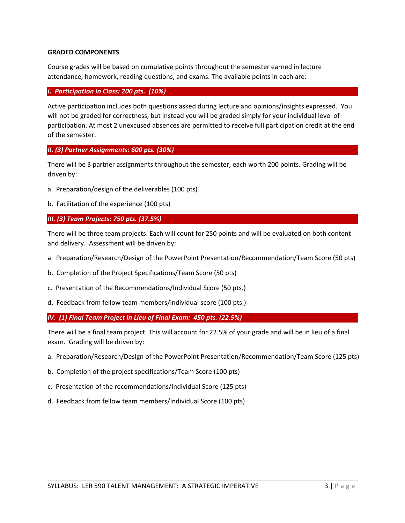#### **GRADED COMPONENTS**

Course grades will be based on cumulative points throughout the semester earned in lecture attendance, homework, reading questions, and exams. The available points in each are:

#### *I. Participation in Class: 200 pts. (10%)*

Active participation includes both questions asked during lecture and opinions/insights expressed. You will not be graded for correctness, but instead you will be graded simply for your individual level of participation. At most 2 unexcused absences are permitted to receive full participation credit at the end of the semester.

## *II. (3) Partner Assignments: 600 pts. (30%)*

There will be 3 partner assignments throughout the semester, each worth 200 points. Grading will be driven by:

- a. Preparation/design of the deliverables (100 pts)
- b. Facilitation of the experience (100 pts)

### *III. (3) Team Projects: 750 pts. (37.5%)*

There will be three team projects. Each will count for 250 points and will be evaluated on both content and delivery. Assessment will be driven by:

- a. Preparation/Research/Design of the PowerPoint Presentation/Recommendation/Team Score (50 pts)
- b. Completion of the Project Specifications/Team Score (50 pts)
- c. Presentation of the Recommendations/Individual Score (50 pts.)
- d. Feedback from fellow team members/individual score (100 pts.)

*IV. (1) Final Team Project in Lieu of Final Exam: 450 pts. (22.5%)*

There will be a final team project. This will account for 22.5% of your grade and will be in lieu of a final exam. Grading will be driven by:

- a. Preparation/Research/Design of the PowerPoint Presentation/Recommendation/Team Score (125 pts)
- b. Completion of the project specifications/Team Score (100 pts)
- c. Presentation of the recommendations/Individual Score (125 pts)
- d. Feedback from fellow team members/Individual Score (100 pts)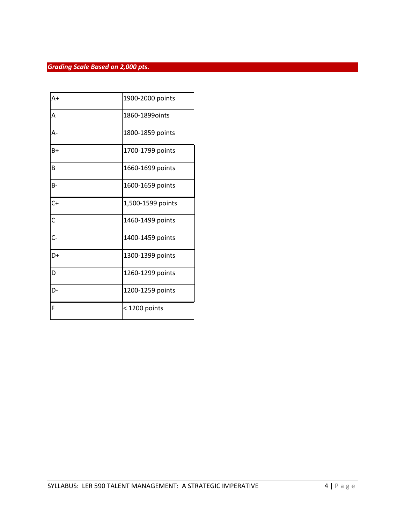## *Grading Scale Based on 2,000 pts.*

| $A+$             | 1900-2000 points  |
|------------------|-------------------|
| Α                | 1860-1899oints    |
| А-               | 1800-1859 points  |
| B+               | 1700-1799 points  |
| B                | 1660-1699 points  |
| $B -$            | 1600-1659 points  |
| $C+$             | 1,500-1599 points |
| Ċ                | 1460-1499 points  |
| $\overline{C}$ - | 1400-1459 points  |
| D+               | 1300-1399 points  |
| D                | 1260-1299 points  |
| D-               | 1200-1259 points  |
| F                | $<$ 1200 points   |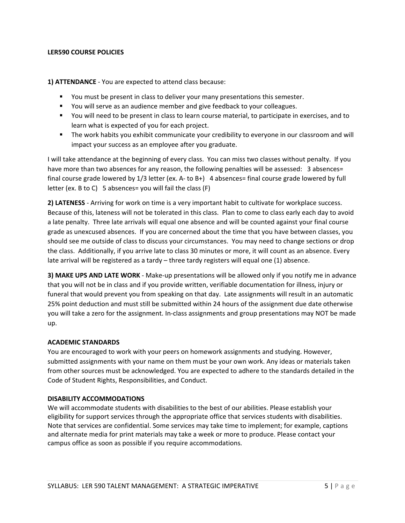### **LER590 COURSE POLICIES**

**1) ATTENDANCE** - You are expected to attend class because:

- You must be present in class to deliver your many presentations this semester.
- You will serve as an audience member and give feedback to your colleagues.
- You will need to be present in class to learn course material, to participate in exercises, and to learn what is expected of you for each project.
- The work habits you exhibit communicate your credibility to everyone in our classroom and will impact your success as an employee after you graduate.

I will take attendance at the beginning of every class. You can miss two classes without penalty. If you have more than two absences for any reason, the following penalties will be assessed: 3 absences= final course grade lowered by 1/3 letter (ex. A- to B+) 4 absences= final course grade lowered by full letter (ex. B to C) 5 absences= you will fail the class (F)

**2) LATENESS** - Arriving for work on time is a very important habit to cultivate for workplace success. Because of this, lateness will not be tolerated in this class. Plan to come to class early each day to avoid a late penalty. Three late arrivals will equal one absence and will be counted against your final course grade as unexcused absences. If you are concerned about the time that you have between classes, you should see me outside of class to discuss your circumstances. You may need to change sections or drop the class. Additionally, if you arrive late to class 30 minutes or more, it will count as an absence. Every late arrival will be registered as a tardy – three tardy registers will equal one (1) absence.

**3) MAKE UPS AND LATE WORK** - Make-up presentations will be allowed only if you notify me in advance that you will not be in class and if you provide written, verifiable documentation for illness, injury or funeral that would prevent you from speaking on that day. Late assignments will result in an automatic 25% point deduction and must still be submitted within 24 hours of the assignment due date otherwise you will take a zero for the assignment. In-class assignments and group presentations may NOT be made up.

### **ACADEMIC STANDARDS**

You are encouraged to work with your peers on homework assignments and studying. However, submitted assignments with your name on them must be your own work. Any ideas or materials taken from other sources must be acknowledged. You are expected to adhere to the standards detailed in the Code of Student Rights, Responsibilities, and Conduct.

### **DISABILITY ACCOMMODATIONS**

We will accommodate students with disabilities to the best of our abilities. Please establish your eligibility for support services through the appropriate office that services students with disabilities. Note that services are confidential. Some services may take time to implement; for example, captions and alternate media for print materials may take a week or more to produce. Please contact your campus office as soon as possible if you require accommodations.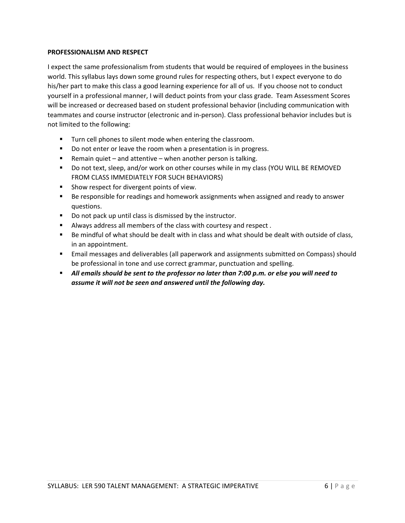### **PROFESSIONALISM AND RESPECT**

I expect the same professionalism from students that would be required of employees in the business world. This syllabus lays down some ground rules for respecting others, but I expect everyone to do his/her part to make this class a good learning experience for all of us. If you choose not to conduct yourself in a professional manner, I will deduct points from your class grade. Team Assessment Scores will be increased or decreased based on student professional behavior (including communication with teammates and course instructor (electronic and in-person). Class professional behavior includes but is not limited to the following:

- **Turn cell phones to silent mode when entering the classroom.**
- Do not enter or leave the room when a presentation is in progress.
- Remain quiet and attentive when another person is talking.
- Do not text, sleep, and/or work on other courses while in my class (YOU WILL BE REMOVED FROM CLASS IMMEDIATELY FOR SUCH BEHAVIORS)
- **Show respect for divergent points of view.**
- **Be responsible for readings and homework assignments when assigned and ready to answer** questions.
- Do not pack up until class is dismissed by the instructor.
- Always address all members of the class with courtesy and respect .
- Be mindful of what should be dealt with in class and what should be dealt with outside of class, in an appointment.
- Email messages and deliverables (all paperwork and assignments submitted on Compass) should be professional in tone and use correct grammar, punctuation and spelling.
- *All emails should be sent to the professor no later than 7:00 p.m. or else you will need to assume it will not be seen and answered until the following day.*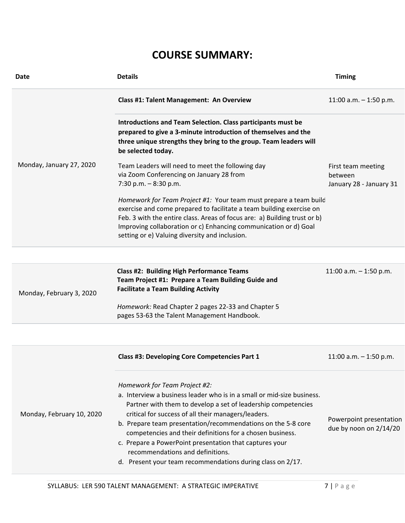## **COURSE SUMMARY:**

| <b>Date</b>               | <b>Details</b>                                                                                                                                                                                                                                                                                                                                                                                                                                                                                                            | <b>Timing</b>                                            |
|---------------------------|---------------------------------------------------------------------------------------------------------------------------------------------------------------------------------------------------------------------------------------------------------------------------------------------------------------------------------------------------------------------------------------------------------------------------------------------------------------------------------------------------------------------------|----------------------------------------------------------|
|                           | <b>Class #1: Talent Management: An Overview</b>                                                                                                                                                                                                                                                                                                                                                                                                                                                                           | 11:00 a.m. $-$ 1:50 p.m.                                 |
|                           | Introductions and Team Selection. Class participants must be<br>prepared to give a 3-minute introduction of themselves and the<br>three unique strengths they bring to the group. Team leaders will<br>be selected today.                                                                                                                                                                                                                                                                                                 |                                                          |
| Monday, January 27, 2020  | Team Leaders will need to meet the following day<br>via Zoom Conferencing on January 28 from<br>7:30 p.m. $-8:30$ p.m.<br>Homework for Team Project #1: Your team must prepare a team build<br>exercise and come prepared to facilitate a team building exercise on<br>Feb. 3 with the entire class. Areas of focus are: a) Building trust or b)<br>Improving collaboration or c) Enhancing communication or d) Goal<br>setting or e) Valuing diversity and inclusion.                                                    | First team meeting<br>between<br>January 28 - January 31 |
| Monday, February 3, 2020  | <b>Class #2: Building High Performance Teams</b><br>Team Project #1: Prepare a Team Building Guide and<br><b>Facilitate a Team Building Activity</b><br>Homework: Read Chapter 2 pages 22-33 and Chapter 5<br>pages 53-63 the Talent Management Handbook.                                                                                                                                                                                                                                                                 | 11:00 a.m. $-$ 1:50 p.m.                                 |
|                           |                                                                                                                                                                                                                                                                                                                                                                                                                                                                                                                           |                                                          |
|                           | Class #3: Developing Core Competencies Part 1                                                                                                                                                                                                                                                                                                                                                                                                                                                                             | 11:00 a.m. $-$ 1:50 p.m.                                 |
| Monday, February 10, 2020 | Homework for Team Project #2:<br>a. Interview a business leader who is in a small or mid-size business.<br>Partner with them to develop a set of leadership competencies<br>critical for success of all their managers/leaders.<br>b. Prepare team presentation/recommendations on the 5-8 core<br>competencies and their definitions for a chosen business.<br>c. Prepare a PowerPoint presentation that captures your<br>recommendations and definitions.<br>d. Present your team recommendations during class on 2/17. | Powerpoint presentation<br>due by noon on 2/14/20        |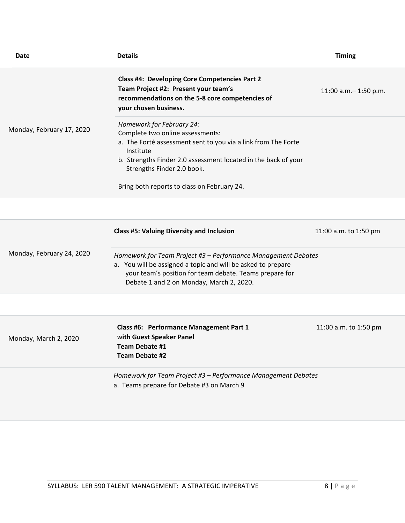| <b>Date</b>               | <b>Details</b>                                                                                                                                                                                                                                                                             | <b>Timing</b>          |
|---------------------------|--------------------------------------------------------------------------------------------------------------------------------------------------------------------------------------------------------------------------------------------------------------------------------------------|------------------------|
|                           | Class #4: Developing Core Competencies Part 2<br>Team Project #2: Present your team's<br>recommendations on the 5-8 core competencies of<br>your chosen business.                                                                                                                          | 11:00 a.m. - 1:50 p.m. |
| Monday, February 17, 2020 | Homework for February 24:<br>Complete two online assessments:<br>a. The Forté assessment sent to you via a link from The Forte<br>Institute<br>b. Strengths Finder 2.0 assessment located in the back of your<br>Strengths Finder 2.0 book.<br>Bring both reports to class on February 24. |                        |
|                           |                                                                                                                                                                                                                                                                                            |                        |
|                           | <b>Class #5: Valuing Diversity and Inclusion</b>                                                                                                                                                                                                                                           | 11:00 a.m. to 1:50 pm  |
| Monday, February 24, 2020 | Homework for Team Project #3 - Performance Management Debates<br>a. You will be assigned a topic and will be asked to prepare<br>your team's position for team debate. Teams prepare for<br>Debate 1 and 2 on Monday, March 2, 2020.                                                       |                        |
|                           |                                                                                                                                                                                                                                                                                            |                        |
| Monday, March 2, 2020     | Class #6: Performance Management Part 1<br>with Guest Speaker Panel<br>Team Debate #1<br>Team Debate #2                                                                                                                                                                                    | 11:00 a.m. to 1:50 pm  |
|                           | Homework for Team Project #3 - Performance Management Debates<br>a. Teams prepare for Debate #3 on March 9                                                                                                                                                                                 |                        |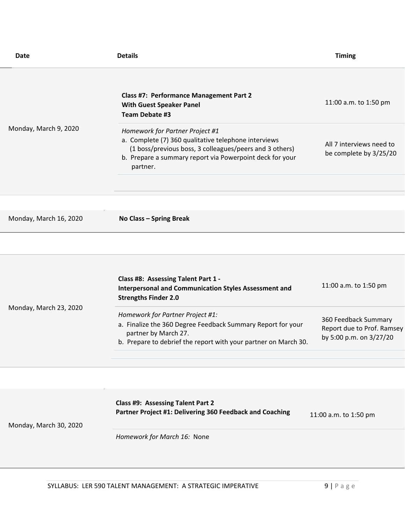| Date                   | <b>Details</b>                                                                                                                                                                                                             | <b>Timing</b>                                                                 |
|------------------------|----------------------------------------------------------------------------------------------------------------------------------------------------------------------------------------------------------------------------|-------------------------------------------------------------------------------|
| Monday, March 9, 2020  | <b>Class #7: Performance Management Part 2</b><br><b>With Guest Speaker Panel</b><br>Team Debate #3                                                                                                                        | 11:00 a.m. to 1:50 pm                                                         |
|                        | Homework for Partner Project #1<br>a. Complete (7) 360 qualitative telephone interviews<br>(1 boss/previous boss, 3 colleagues/peers and 3 others)<br>b. Prepare a summary report via Powerpoint deck for your<br>partner. | All 7 interviews need to<br>be complete by 3/25/20                            |
|                        |                                                                                                                                                                                                                            |                                                                               |
|                        |                                                                                                                                                                                                                            |                                                                               |
| Monday, March 16, 2020 | No Class - Spring Break                                                                                                                                                                                                    |                                                                               |
|                        |                                                                                                                                                                                                                            |                                                                               |
| Monday, March 23, 2020 | Class #8: Assessing Talent Part 1 -<br><b>Interpersonal and Communication Styles Assessment and</b><br><b>Strengths Finder 2.0</b>                                                                                         | 11:00 a.m. to 1:50 pm                                                         |
|                        | Homework for Partner Project #1:<br>a. Finalize the 360 Degree Feedback Summary Report for your<br>partner by March 27.<br>b. Prepare to debrief the report with your partner on March 30.                                 | 360 Feedback Summary<br>Report due to Prof. Ramsey<br>by 5:00 p.m. on 3/27/20 |
|                        |                                                                                                                                                                                                                            |                                                                               |
|                        |                                                                                                                                                                                                                            |                                                                               |
| Monday, March 30, 2020 | Class #9: Assessing Talent Part 2<br>Partner Project #1: Delivering 360 Feedback and Coaching                                                                                                                              | 11:00 a.m. to 1:50 pm                                                         |
|                        | Homework for March 16: None                                                                                                                                                                                                |                                                                               |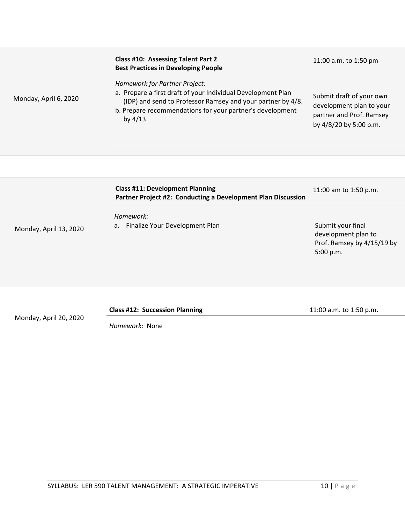| Monday, April 6, 2020  | <b>Class #10: Assessing Talent Part 2</b><br><b>Best Practices in Developing People</b>                                                                                                                                                  | 11:00 a.m. to 1:50 pm                                                                                      |
|------------------------|------------------------------------------------------------------------------------------------------------------------------------------------------------------------------------------------------------------------------------------|------------------------------------------------------------------------------------------------------------|
|                        | Homework for Partner Project:<br>a. Prepare a first draft of your Individual Development Plan<br>(IDP) and send to Professor Ramsey and your partner by 4/8.<br>b. Prepare recommendations for your partner's development<br>by $4/13$ . | Submit draft of your own<br>development plan to your<br>partner and Prof. Ramsey<br>by 4/8/20 by 5:00 p.m. |
|                        |                                                                                                                                                                                                                                          |                                                                                                            |
|                        |                                                                                                                                                                                                                                          |                                                                                                            |
| Monday, April 13, 2020 | <b>Class #11: Development Planning</b><br>Partner Project #2: Conducting a Development Plan Discussion                                                                                                                                   | 11:00 am to 1:50 p.m.                                                                                      |
|                        | Homework:                                                                                                                                                                                                                                |                                                                                                            |
|                        | a. Finalize Your Development Plan                                                                                                                                                                                                        | Submit your final<br>development plan to<br>Prof. Ramsey by 4/15/19 by<br>5:00 p.m.                        |
|                        |                                                                                                                                                                                                                                          |                                                                                                            |

**Class #12: Succession Planning** 11:00 a.m. to 1:50 p.m.

*Homework:* None

Monday, April 20, 2020